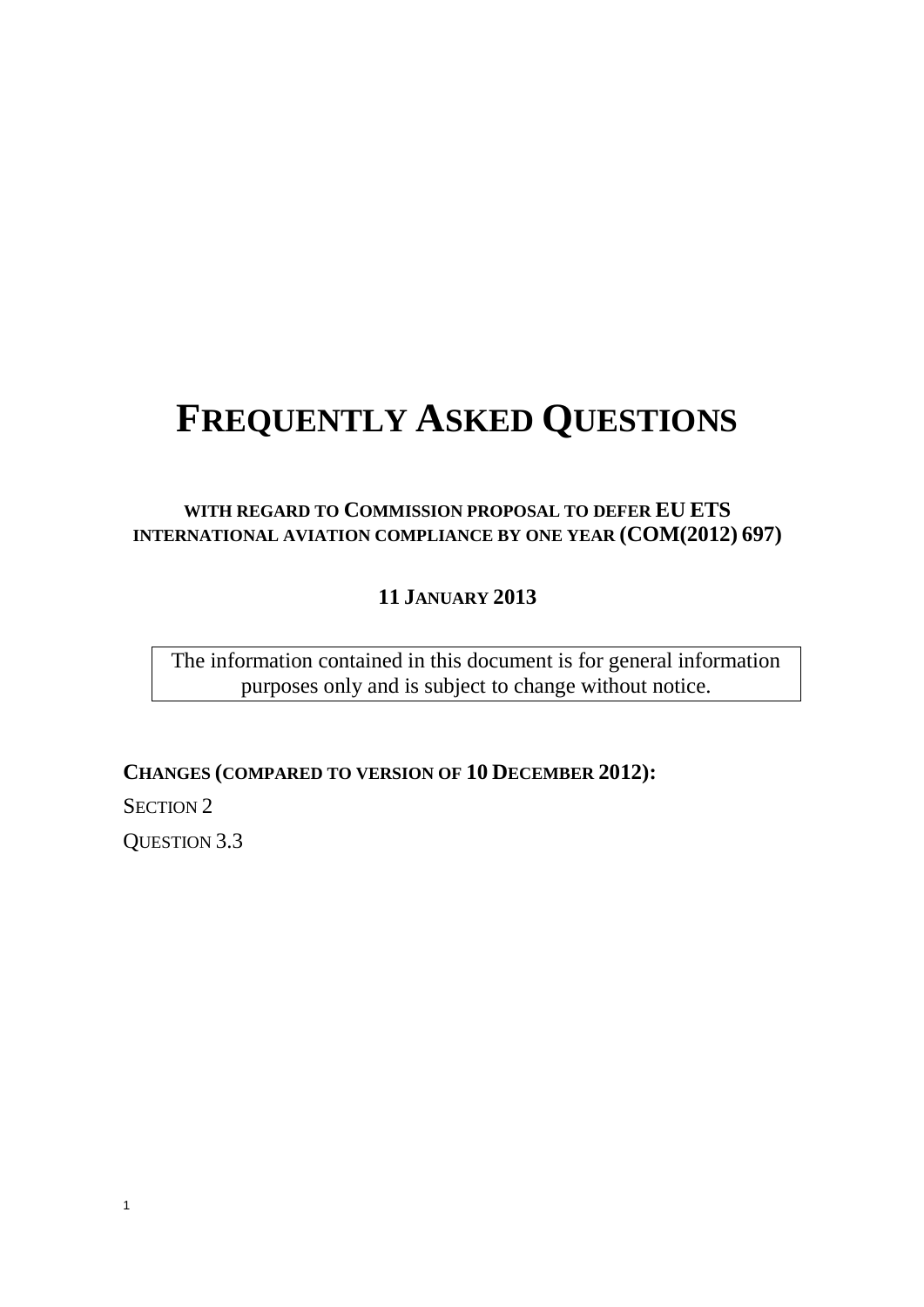# **FREQUENTLY ASKED QUESTIONS**

# **WITH REGARD TO COMMISSION PROPOSAL TO DEFER EU ETS INTERNATIONAL AVIATION COMPLIANCE BY ONE YEAR (COM(2012) 697)**

**11 JANUARY 2013**

The information contained in this document is for general information purposes only and is subject to change without notice.

**CHANGES (COMPARED TO VERSION OF 10 DECEMBER 2012):**

SECTION 2

QUESTION 3.3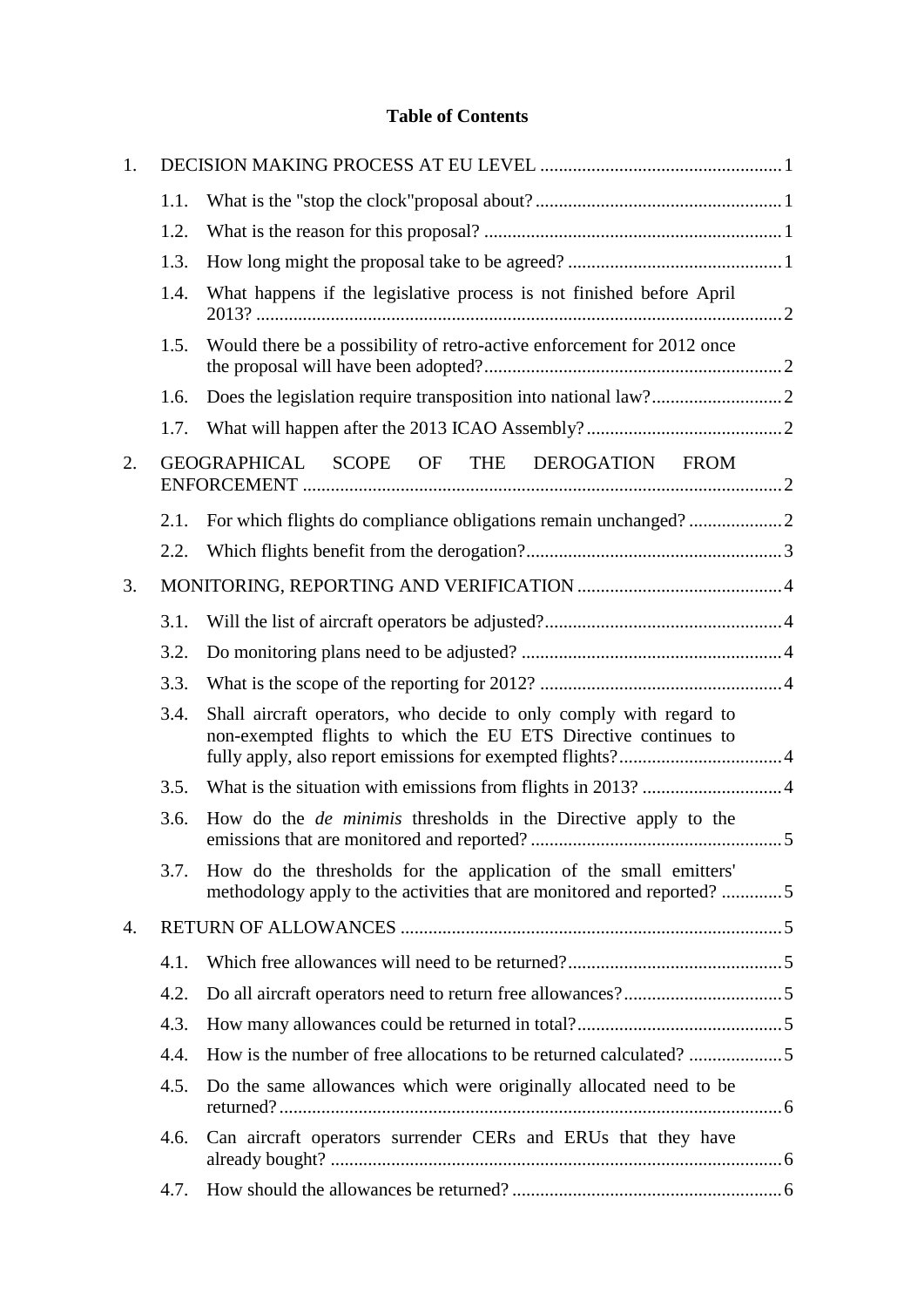## **Table of Contents**

| 1. |      |                                                                                                                                            |  |
|----|------|--------------------------------------------------------------------------------------------------------------------------------------------|--|
|    | 1.1. |                                                                                                                                            |  |
|    | 1.2. |                                                                                                                                            |  |
|    | 1.3. |                                                                                                                                            |  |
|    | 1.4. | What happens if the legislative process is not finished before April                                                                       |  |
|    | 1.5. | Would there be a possibility of retro-active enforcement for 2012 once                                                                     |  |
|    | 1.6. |                                                                                                                                            |  |
|    | 1.7. |                                                                                                                                            |  |
| 2. |      | GEOGRAPHICAL SCOPE OF THE DEROGATION FROM                                                                                                  |  |
|    | 2.1. |                                                                                                                                            |  |
|    | 2.2. |                                                                                                                                            |  |
| 3. |      |                                                                                                                                            |  |
|    | 3.1. |                                                                                                                                            |  |
|    | 3.2. |                                                                                                                                            |  |
|    | 3.3. |                                                                                                                                            |  |
|    | 3.4. | Shall aircraft operators, who decide to only comply with regard to<br>non-exempted flights to which the EU ETS Directive continues to      |  |
|    | 3.5. |                                                                                                                                            |  |
|    | 3.6. | How do the <i>de minimis</i> thresholds in the Directive apply to the                                                                      |  |
|    | 3.7. | How do the thresholds for the application of the small emitters'<br>methodology apply to the activities that are monitored and reported? 5 |  |
| 4. |      |                                                                                                                                            |  |
|    | 4.1. |                                                                                                                                            |  |
|    | 4.2. |                                                                                                                                            |  |
|    | 4.3. |                                                                                                                                            |  |
|    | 4.4. |                                                                                                                                            |  |
|    | 4.5. | Do the same allowances which were originally allocated need to be                                                                          |  |
|    | 4.6. | Can aircraft operators surrender CERs and ERUs that they have                                                                              |  |
|    | 4.7. |                                                                                                                                            |  |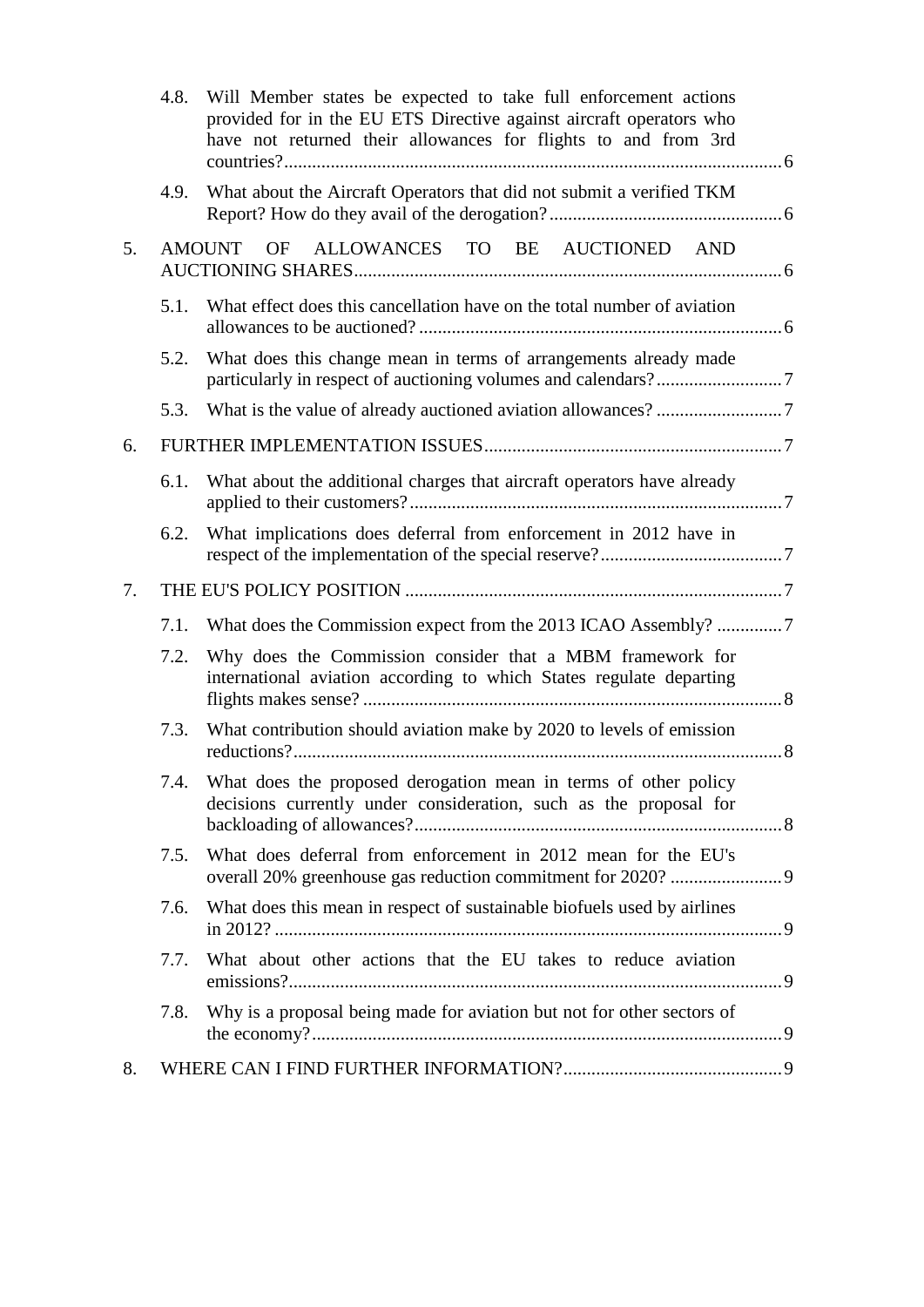|    | 4.8. | Will Member states be expected to take full enforcement actions<br>provided for in the EU ETS Directive against aircraft operators who<br>have not returned their allowances for flights to and from 3rd |  |
|----|------|----------------------------------------------------------------------------------------------------------------------------------------------------------------------------------------------------------|--|
|    | 4.9. | What about the Aircraft Operators that did not submit a verified TKM                                                                                                                                     |  |
| 5. |      | ALLOWANCES TO BE AUCTIONED AND<br>AMOUNT<br><b>OF</b>                                                                                                                                                    |  |
|    | 5.1. | What effect does this cancellation have on the total number of aviation                                                                                                                                  |  |
|    | 5.2. | What does this change mean in terms of arrangements already made                                                                                                                                         |  |
|    | 5.3. |                                                                                                                                                                                                          |  |
| 6. |      |                                                                                                                                                                                                          |  |
|    | 6.1. | What about the additional charges that aircraft operators have already                                                                                                                                   |  |
|    | 6.2. | What implications does deferral from enforcement in 2012 have in                                                                                                                                         |  |
| 7. |      |                                                                                                                                                                                                          |  |
|    | 7.1. | What does the Commission expect from the 2013 ICAO Assembly? 7                                                                                                                                           |  |
|    | 7.2. | Why does the Commission consider that a MBM framework for<br>international aviation according to which States regulate departing                                                                         |  |
|    | 7.3. | What contribution should aviation make by 2020 to levels of emission                                                                                                                                     |  |
|    | 7.4. | What does the proposed derogation mean in terms of other policy<br>decisions currently under consideration, such as the proposal for                                                                     |  |
|    | 7.5. | What does deferral from enforcement in 2012 mean for the EU's                                                                                                                                            |  |
|    | 7.6. | What does this mean in respect of sustainable biofuels used by airlines                                                                                                                                  |  |
|    | 7.7. | What about other actions that the EU takes to reduce aviation                                                                                                                                            |  |
|    | 7.8. | Why is a proposal being made for aviation but not for other sectors of                                                                                                                                   |  |
| 8. |      |                                                                                                                                                                                                          |  |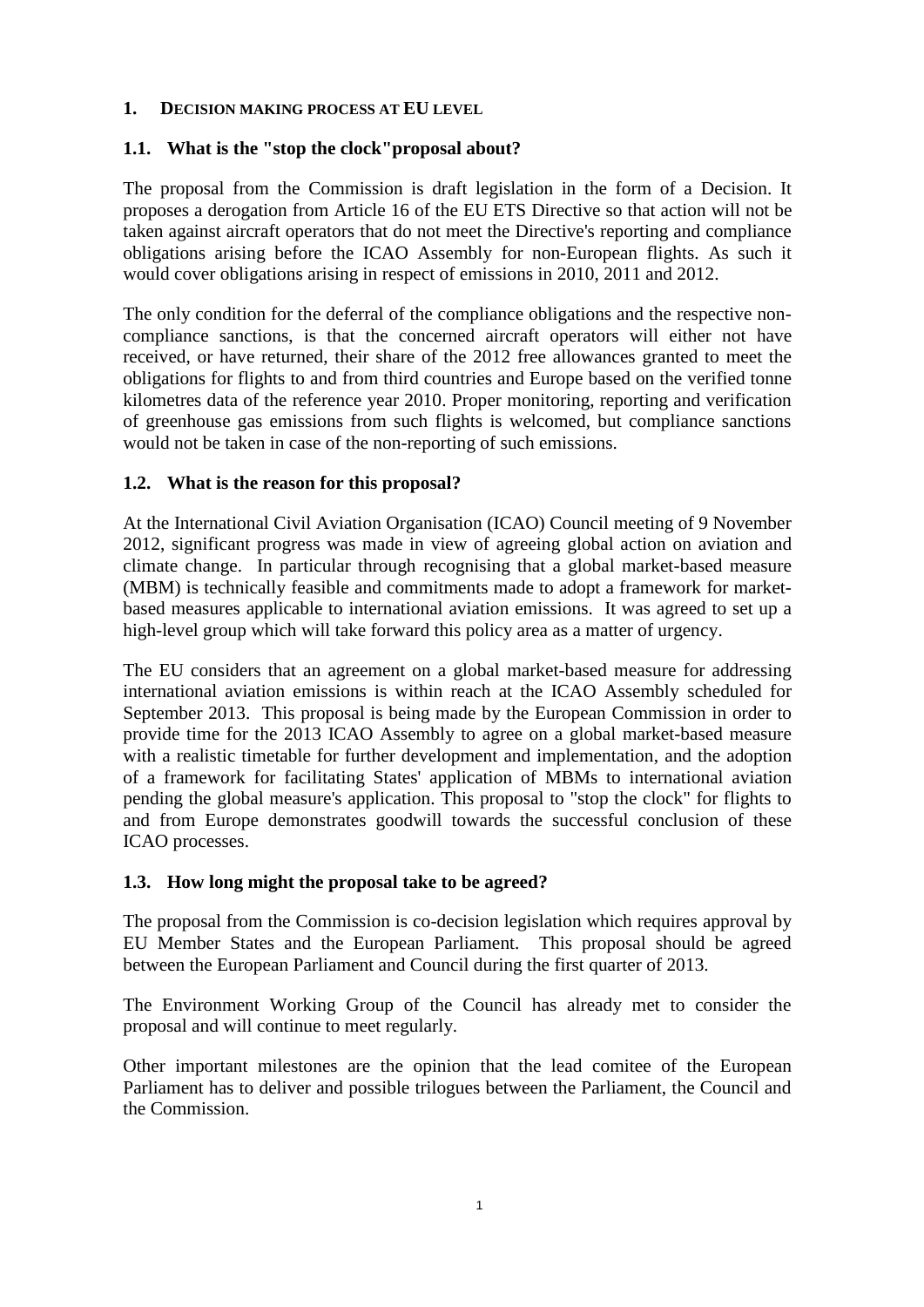#### <span id="page-3-0"></span>**1. DECISION MAKING PROCESS AT EU LEVEL**

## <span id="page-3-1"></span>**1.1. What is the "stop the clock"proposal about?**

The proposal from the Commission is draft legislation in the form of a Decision. It proposes a derogation from Article 16 of the EU ETS Directive so that action will not be taken against aircraft operators that do not meet the Directive's reporting and compliance obligations arising before the ICAO Assembly for non-European flights. As such it would cover obligations arising in respect of emissions in 2010, 2011 and 2012.

The only condition for the deferral of the compliance obligations and the respective noncompliance sanctions, is that the concerned aircraft operators will either not have received, or have returned, their share of the 2012 free allowances granted to meet the obligations for flights to and from third countries and Europe based on the verified tonne kilometres data of the reference year 2010. Proper monitoring, reporting and verification of greenhouse gas emissions from such flights is welcomed, but compliance sanctions would not be taken in case of the non-reporting of such emissions.

## <span id="page-3-2"></span>**1.2. What is the reason for this proposal?**

At the International Civil Aviation Organisation (ICAO) Council meeting of 9 November 2012, significant progress was made in view of agreeing global action on aviation and climate change. In particular through recognising that a global market-based measure (MBM) is technically feasible and commitments made to adopt a framework for marketbased measures applicable to international aviation emissions. It was agreed to set up a high-level group which will take forward this policy area as a matter of urgency.

The EU considers that an agreement on a global market-based measure for addressing international aviation emissions is within reach at the ICAO Assembly scheduled for September 2013. This proposal is being made by the European Commission in order to provide time for the 2013 ICAO Assembly to agree on a global market-based measure with a realistic timetable for further development and implementation, and the adoption of a framework for facilitating States' application of MBMs to international aviation pending the global measure's application. This proposal to "stop the clock" for flights to and from Europe demonstrates goodwill towards the successful conclusion of these ICAO processes.

## <span id="page-3-3"></span>**1.3. How long might the proposal take to be agreed?**

The proposal from the Commission is co-decision legislation which requires approval by EU Member States and the European Parliament. This proposal should be agreed between the European Parliament and Council during the first quarter of 2013.

The Environment Working Group of the Council has already met to consider the proposal and will continue to meet regularly.

Other important milestones are the opinion that the lead comitee of the European Parliament has to deliver and possible trilogues between the Parliament, the Council and the Commission.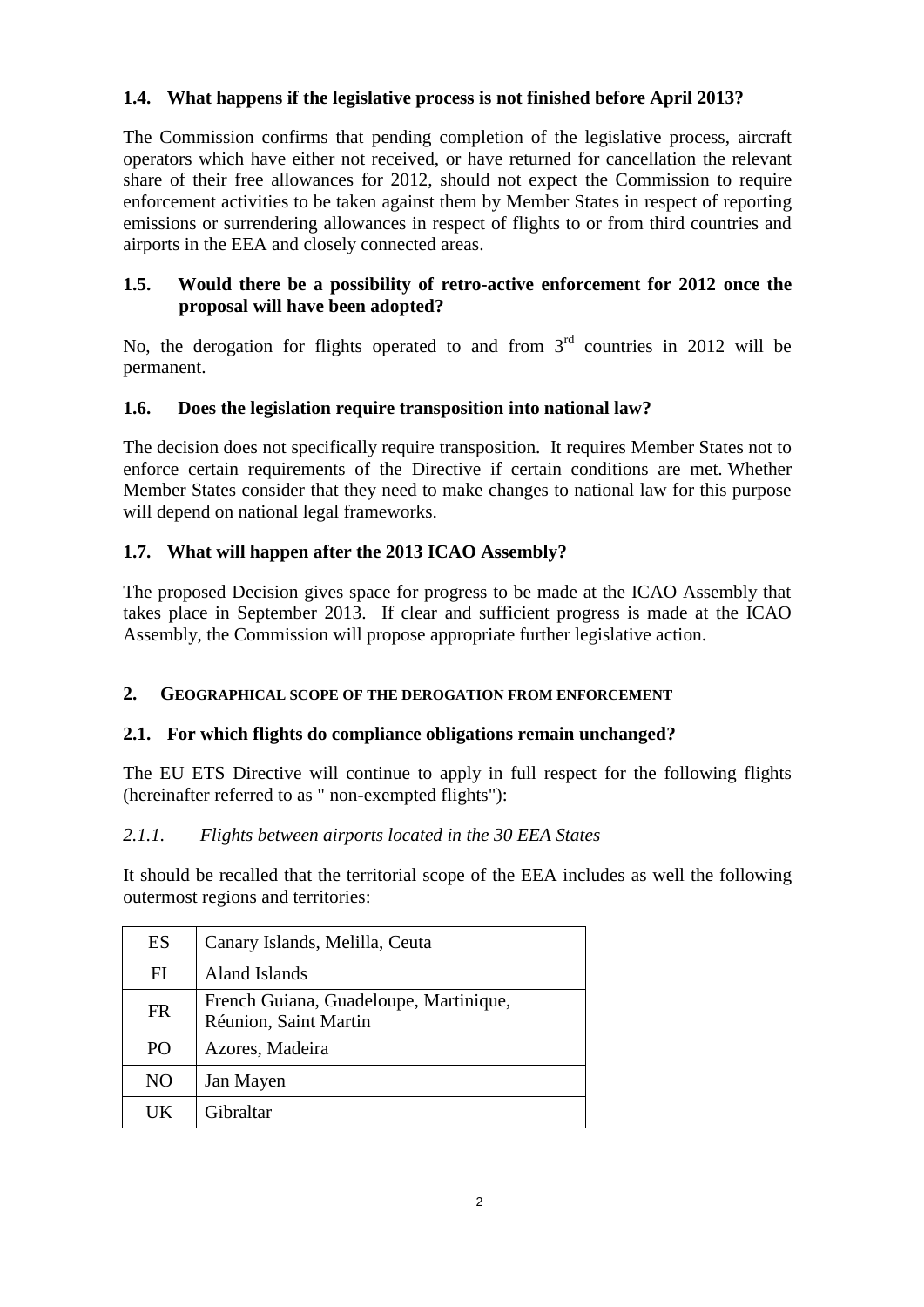## <span id="page-4-0"></span>**1.4. What happens if the legislative process is not finished before April 2013?**

The Commission confirms that pending completion of the legislative process, aircraft operators which have either not received, or have returned for cancellation the relevant share of their free allowances for 2012, should not expect the Commission to require enforcement activities to be taken against them by Member States in respect of reporting emissions or surrendering allowances in respect of flights to or from third countries and airports in the EEA and closely connected areas.

## <span id="page-4-1"></span>**1.5. Would there be a possibility of retro-active enforcement for 2012 once the proposal will have been adopted?**

No, the derogation for flights operated to and from  $3<sup>rd</sup>$  countries in 2012 will be permanent.

## <span id="page-4-2"></span>**1.6. Does the legislation require transposition into national law?**

The decision does not specifically require transposition. It requires Member States not to enforce certain requirements of the Directive if certain conditions are met. Whether Member States consider that they need to make changes to national law for this purpose will depend on national legal frameworks.

## <span id="page-4-3"></span>**1.7. What will happen after the 2013 ICAO Assembly?**

The proposed Decision gives space for progress to be made at the ICAO Assembly that takes place in September 2013. If clear and sufficient progress is made at the ICAO Assembly, the Commission will propose appropriate further legislative action.

## <span id="page-4-4"></span>**2. GEOGRAPHICAL SCOPE OF THE DEROGATION FROM ENFORCEMENT**

## <span id="page-4-5"></span>**2.1. For which flights do compliance obligations remain unchanged?**

The EU ETS Directive will continue to apply in full respect for the following flights (hereinafter referred to as " non-exempted flights"):

## *2.1.1. Flights between airports located in the 30 EEA States*

It should be recalled that the territorial scope of the EEA includes as well the following outermost regions and territories:

| ES             | Canary Islands, Melilla, Ceuta                                  |
|----------------|-----------------------------------------------------------------|
| FI             | Aland Islands                                                   |
| <b>FR</b>      | French Guiana, Guadeloupe, Martinique,<br>Réunion, Saint Martin |
| P <sub>O</sub> | Azores, Madeira                                                 |
| N <sub>O</sub> | Jan Mayen                                                       |
| <b>UK</b>      | Gibraltar                                                       |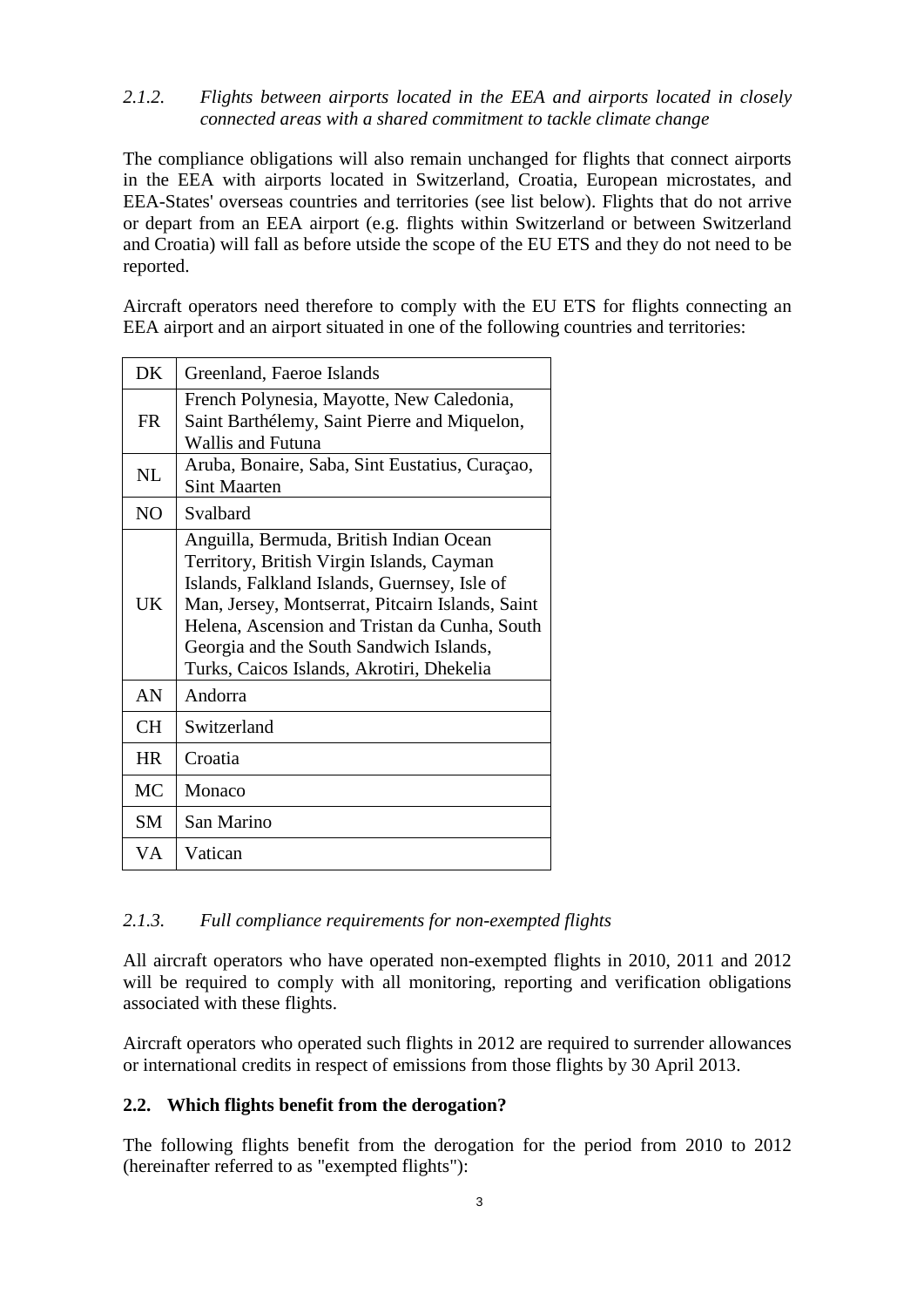*2.1.2. Flights between airports located in the EEA and airports located in closely connected areas with a shared commitment to tackle climate change*

The compliance obligations will also remain unchanged for flights that connect airports in the EEA with airports located in Switzerland, Croatia, European microstates, and EEA-States' overseas countries and territories (see list below). Flights that do not arrive or depart from an EEA airport (e.g. flights within Switzerland or between Switzerland and Croatia) will fall as before utside the scope of the EU ETS and they do not need to be reported.

Aircraft operators need therefore to comply with the EU ETS for flights connecting an EEA airport and an airport situated in one of the following countries and territories:

| <b>DK</b>                       | Greenland, Faeroe Islands                                                                                                                                                                                                                                                                                                         |
|---------------------------------|-----------------------------------------------------------------------------------------------------------------------------------------------------------------------------------------------------------------------------------------------------------------------------------------------------------------------------------|
| <b>FR</b>                       | French Polynesia, Mayotte, New Caledonia,<br>Saint Barthélemy, Saint Pierre and Miquelon,<br>Wallis and Futuna                                                                                                                                                                                                                    |
| $\ensuremath{\text{NL}}\xspace$ | Aruba, Bonaire, Saba, Sint Eustatius, Curaçao,<br><b>Sint Maarten</b>                                                                                                                                                                                                                                                             |
| NO.                             | Svalbard                                                                                                                                                                                                                                                                                                                          |
| <b>UK</b>                       | Anguilla, Bermuda, British Indian Ocean<br>Territory, British Virgin Islands, Cayman<br>Islands, Falkland Islands, Guernsey, Isle of<br>Man, Jersey, Montserrat, Pitcairn Islands, Saint<br>Helena, Ascension and Tristan da Cunha, South<br>Georgia and the South Sandwich Islands,<br>Turks, Caicos Islands, Akrotiri, Dhekelia |
| AN                              | Andorra                                                                                                                                                                                                                                                                                                                           |
| <b>CH</b>                       | Switzerland                                                                                                                                                                                                                                                                                                                       |
| <b>HR</b>                       | Croatia                                                                                                                                                                                                                                                                                                                           |
| <b>MC</b>                       | Monaco                                                                                                                                                                                                                                                                                                                            |
| SM                              | San Marino                                                                                                                                                                                                                                                                                                                        |
| VA                              | Vatican                                                                                                                                                                                                                                                                                                                           |

#### *2.1.3. Full compliance requirements for non-exempted flights*

All aircraft operators who have operated non-exempted flights in 2010, 2011 and 2012 will be required to comply with all monitoring, reporting and verification obligations associated with these flights.

Aircraft operators who operated such flights in 2012 are required to surrender allowances or international credits in respect of emissions from those flights by 30 April 2013.

#### <span id="page-5-0"></span>**2.2. Which flights benefit from the derogation?**

The following flights benefit from the derogation for the period from 2010 to 2012 (hereinafter referred to as "exempted flights"):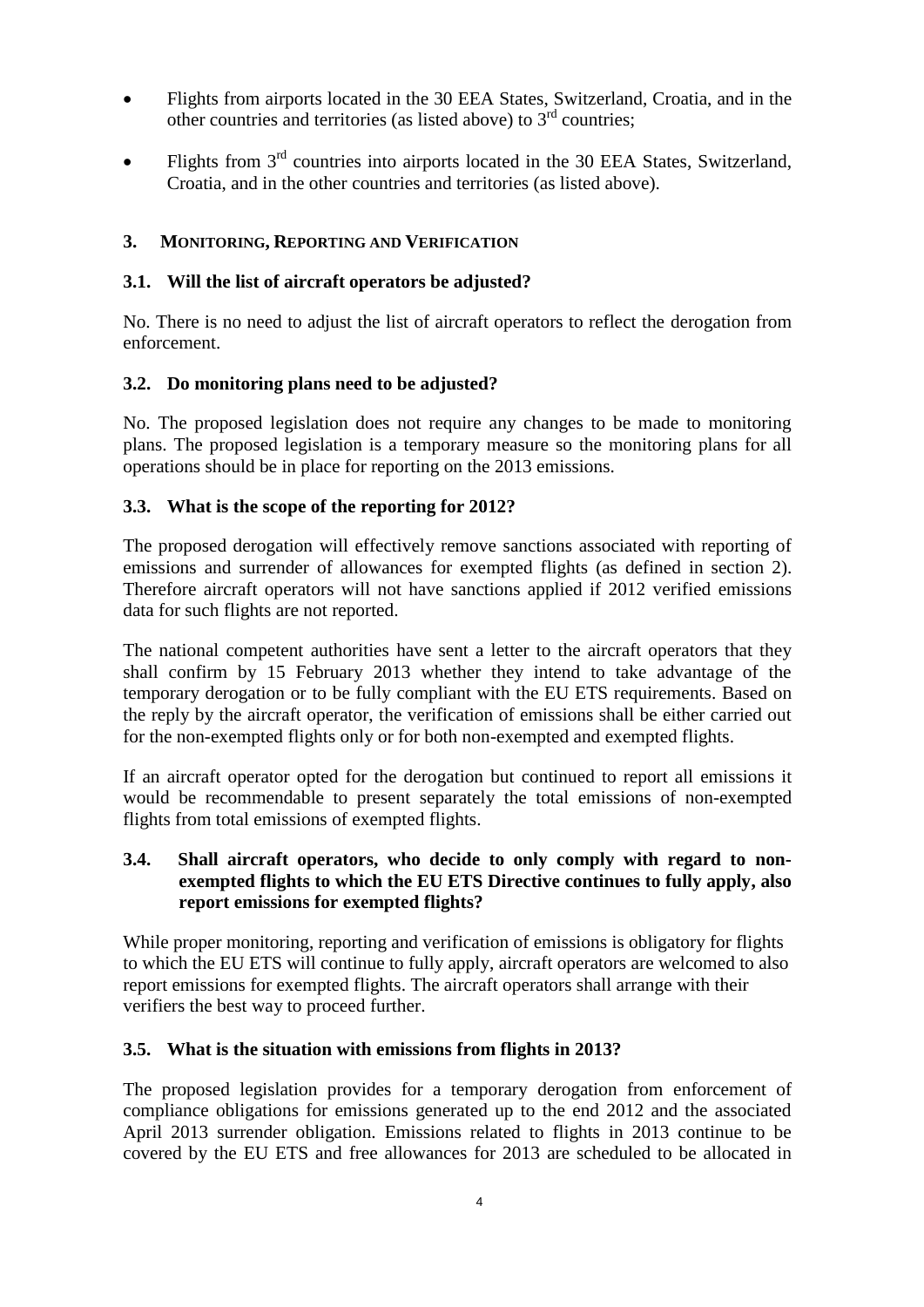- Flights from airports located in the 30 EEA States, Switzerland, Croatia, and in the other countries and territories (as listed above) to 3rd countries;
- Flights from 3rd countries into airports located in the 30 EEA States, Switzerland, Croatia, and in the other countries and territories (as listed above).

## <span id="page-6-0"></span>**3. MONITORING, REPORTING AND VERIFICATION**

#### <span id="page-6-1"></span>**3.1. Will the list of aircraft operators be adjusted?**

No. There is no need to adjust the list of aircraft operators to reflect the derogation from enforcement.

#### <span id="page-6-2"></span>**3.2. Do monitoring plans need to be adjusted?**

No. The proposed legislation does not require any changes to be made to monitoring plans. The proposed legislation is a temporary measure so the monitoring plans for all operations should be in place for reporting on the 2013 emissions.

#### <span id="page-6-3"></span>**3.3. What is the scope of the reporting for 2012?**

The proposed derogation will effectively remove sanctions associated with reporting of emissions and surrender of allowances for exempted flights (as defined in section 2). Therefore aircraft operators will not have sanctions applied if 2012 verified emissions data for such flights are not reported.

The national competent authorities have sent a letter to the aircraft operators that they shall confirm by 15 February 2013 whether they intend to take advantage of the temporary derogation or to be fully compliant with the EU ETS requirements. Based on the reply by the aircraft operator, the verification of emissions shall be either carried out for the non-exempted flights only or for both non-exempted and exempted flights.

If an aircraft operator opted for the derogation but continued to report all emissions it would be recommendable to present separately the total emissions of non-exempted flights from total emissions of exempted flights.

#### <span id="page-6-4"></span>**3.4. Shall aircraft operators, who decide to only comply with regard to nonexempted flights to which the EU ETS Directive continues to fully apply, also report emissions for exempted flights?**

While proper monitoring, reporting and verification of emissions is obligatory for flights to which the EU ETS will continue to fully apply, aircraft operators are welcomed to also report emissions for exempted flights. The aircraft operators shall arrange with their verifiers the best way to proceed further.

#### <span id="page-6-5"></span>**3.5. What is the situation with emissions from flights in 2013?**

The proposed legislation provides for a temporary derogation from enforcement of compliance obligations for emissions generated up to the end 2012 and the associated April 2013 surrender obligation. Emissions related to flights in 2013 continue to be covered by the EU ETS and free allowances for 2013 are scheduled to be allocated in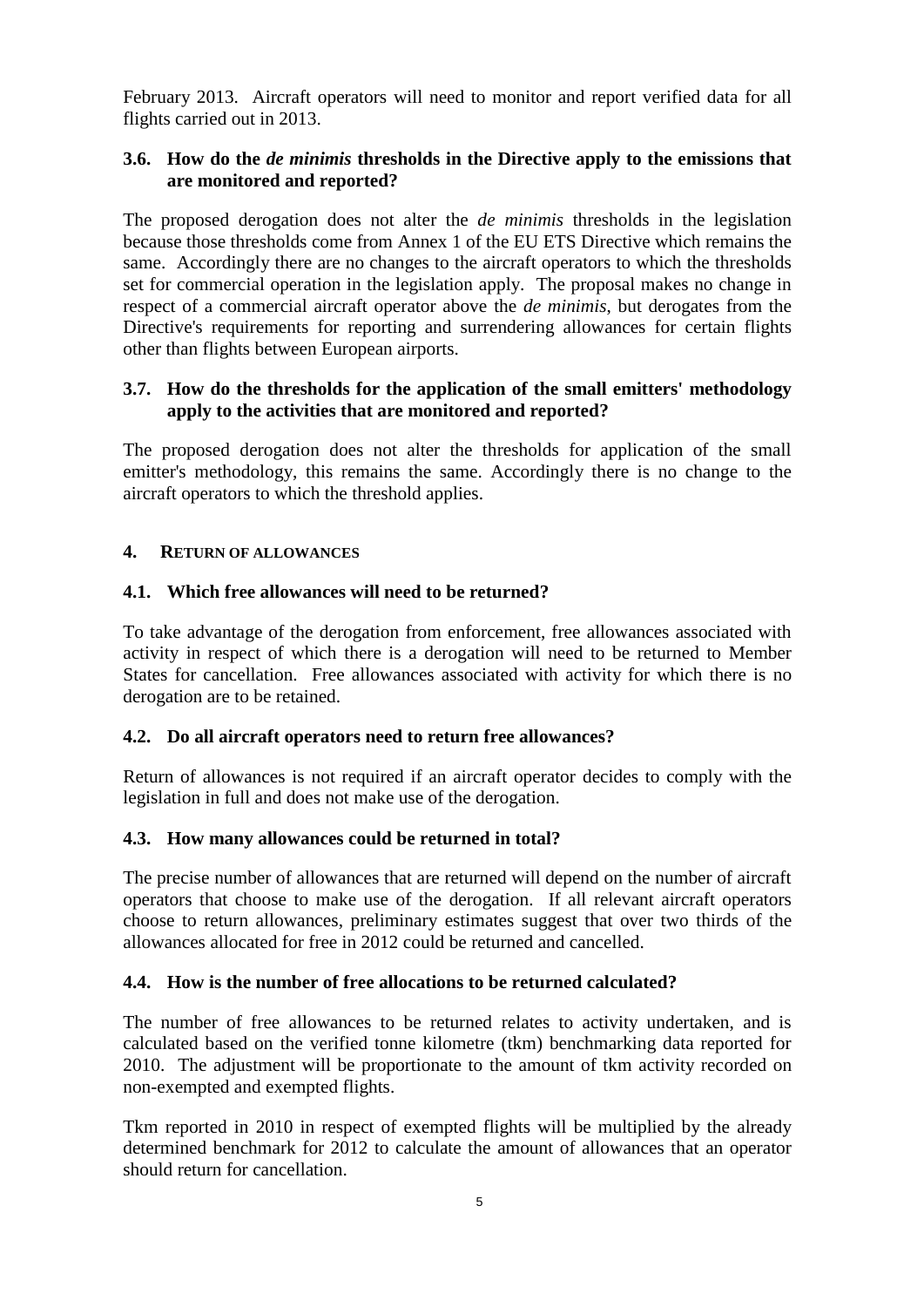February 2013. Aircraft operators will need to monitor and report verified data for all flights carried out in 2013.

#### <span id="page-7-0"></span>**3.6. How do the** *de minimis* **thresholds in the Directive apply to the emissions that are monitored and reported?**

The proposed derogation does not alter the *de minimis* thresholds in the legislation because those thresholds come from Annex 1 of the EU ETS Directive which remains the same. Accordingly there are no changes to the aircraft operators to which the thresholds set for commercial operation in the legislation apply. The proposal makes no change in respect of a commercial aircraft operator above the *de minimis*, but derogates from the Directive's requirements for reporting and surrendering allowances for certain flights other than flights between European airports.

#### <span id="page-7-1"></span>**3.7. How do the thresholds for the application of the small emitters' methodology apply to the activities that are monitored and reported?**

The proposed derogation does not alter the thresholds for application of the small emitter's methodology, this remains the same. Accordingly there is no change to the aircraft operators to which the threshold applies.

#### <span id="page-7-2"></span>**4. RETURN OF ALLOWANCES**

#### <span id="page-7-3"></span>**4.1. Which free allowances will need to be returned?**

To take advantage of the derogation from enforcement, free allowances associated with activity in respect of which there is a derogation will need to be returned to Member States for cancellation. Free allowances associated with activity for which there is no derogation are to be retained.

#### <span id="page-7-4"></span>**4.2. Do all aircraft operators need to return free allowances?**

Return of allowances is not required if an aircraft operator decides to comply with the legislation in full and does not make use of the derogation.

## <span id="page-7-5"></span>**4.3. How many allowances could be returned in total?**

The precise number of allowances that are returned will depend on the number of aircraft operators that choose to make use of the derogation. If all relevant aircraft operators choose to return allowances, preliminary estimates suggest that over two thirds of the allowances allocated for free in 2012 could be returned and cancelled.

#### <span id="page-7-6"></span>**4.4. How is the number of free allocations to be returned calculated?**

The number of free allowances to be returned relates to activity undertaken, and is calculated based on the verified tonne kilometre (tkm) benchmarking data reported for 2010. The adjustment will be proportionate to the amount of tkm activity recorded on non-exempted and exempted flights.

Tkm reported in 2010 in respect of exempted flights will be multiplied by the already determined benchmark for 2012 to calculate the amount of allowances that an operator should return for cancellation.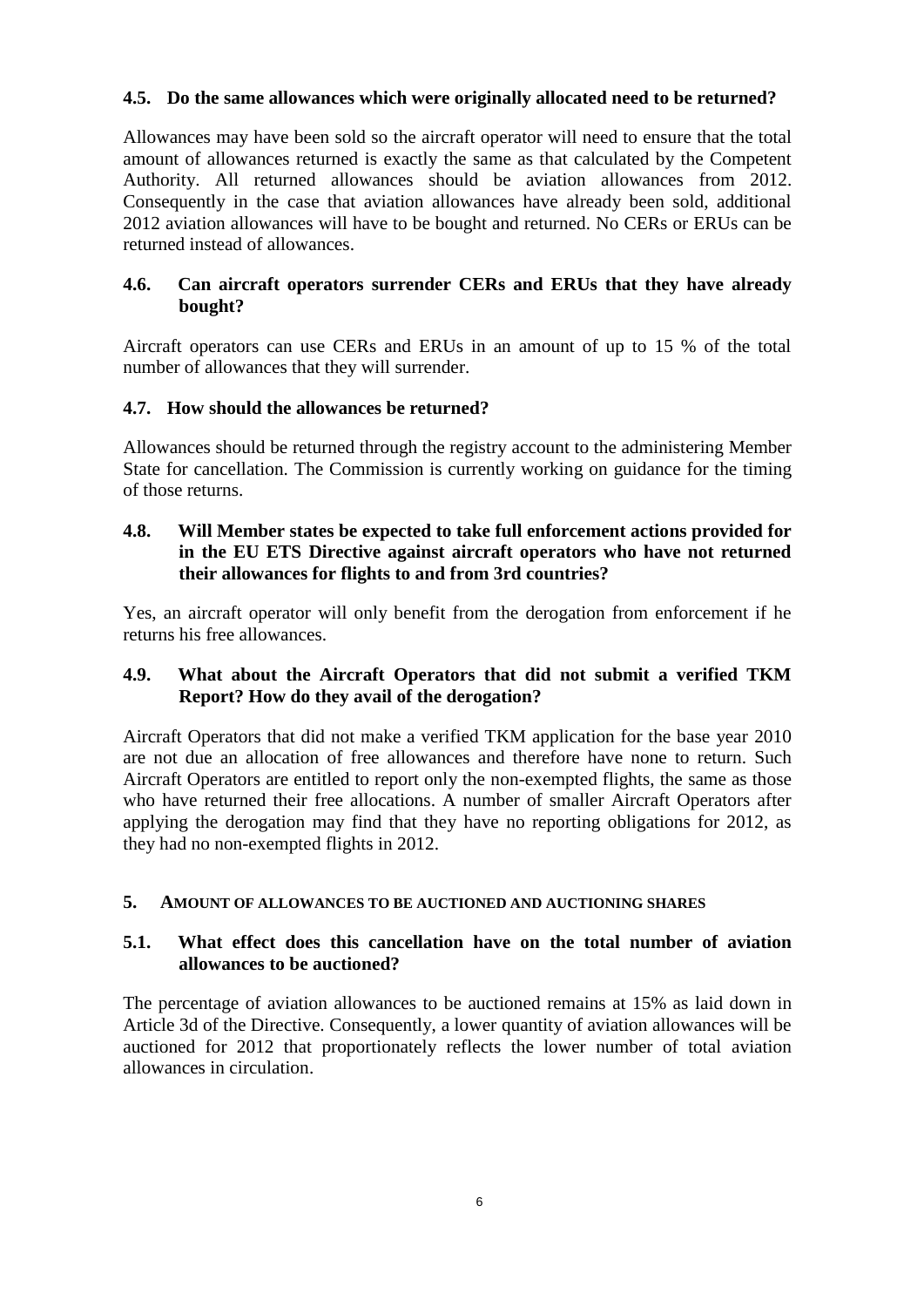## <span id="page-8-0"></span>**4.5. Do the same allowances which were originally allocated need to be returned?**

Allowances may have been sold so the aircraft operator will need to ensure that the total amount of allowances returned is exactly the same as that calculated by the Competent Authority. All returned allowances should be aviation allowances from 2012. Consequently in the case that aviation allowances have already been sold, additional 2012 aviation allowances will have to be bought and returned. No CERs or ERUs can be returned instead of allowances.

#### <span id="page-8-1"></span>**4.6. Can aircraft operators surrender CERs and ERUs that they have already bought?**

Aircraft operators can use CERs and ERUs in an amount of up to 15 % of the total number of allowances that they will surrender.

#### <span id="page-8-2"></span>**4.7. How should the allowances be returned?**

Allowances should be returned through the registry account to the administering Member State for cancellation. The Commission is currently working on guidance for the timing of those returns.

#### <span id="page-8-3"></span>**4.8. Will Member states be expected to take full enforcement actions provided for in the EU ETS Directive against aircraft operators who have not returned their allowances for flights to and from 3rd countries?**

Yes, an aircraft operator will only benefit from the derogation from enforcement if he returns his free allowances.

## <span id="page-8-4"></span>**4.9. What about the Aircraft Operators that did not submit a verified TKM Report? How do they avail of the derogation?**

Aircraft Operators that did not make a verified TKM application for the base year 2010 are not due an allocation of free allowances and therefore have none to return. Such Aircraft Operators are entitled to report only the non-exempted flights, the same as those who have returned their free allocations. A number of smaller Aircraft Operators after applying the derogation may find that they have no reporting obligations for 2012, as they had no non-exempted flights in 2012.

#### <span id="page-8-5"></span>**5. AMOUNT OF ALLOWANCES TO BE AUCTIONED AND AUCTIONING SHARES**

#### <span id="page-8-6"></span>**5.1. What effect does this cancellation have on the total number of aviation allowances to be auctioned?**

The percentage of aviation allowances to be auctioned remains at 15% as laid down in Article 3d of the Directive. Consequently, a lower quantity of aviation allowances will be auctioned for 2012 that proportionately reflects the lower number of total aviation allowances in circulation.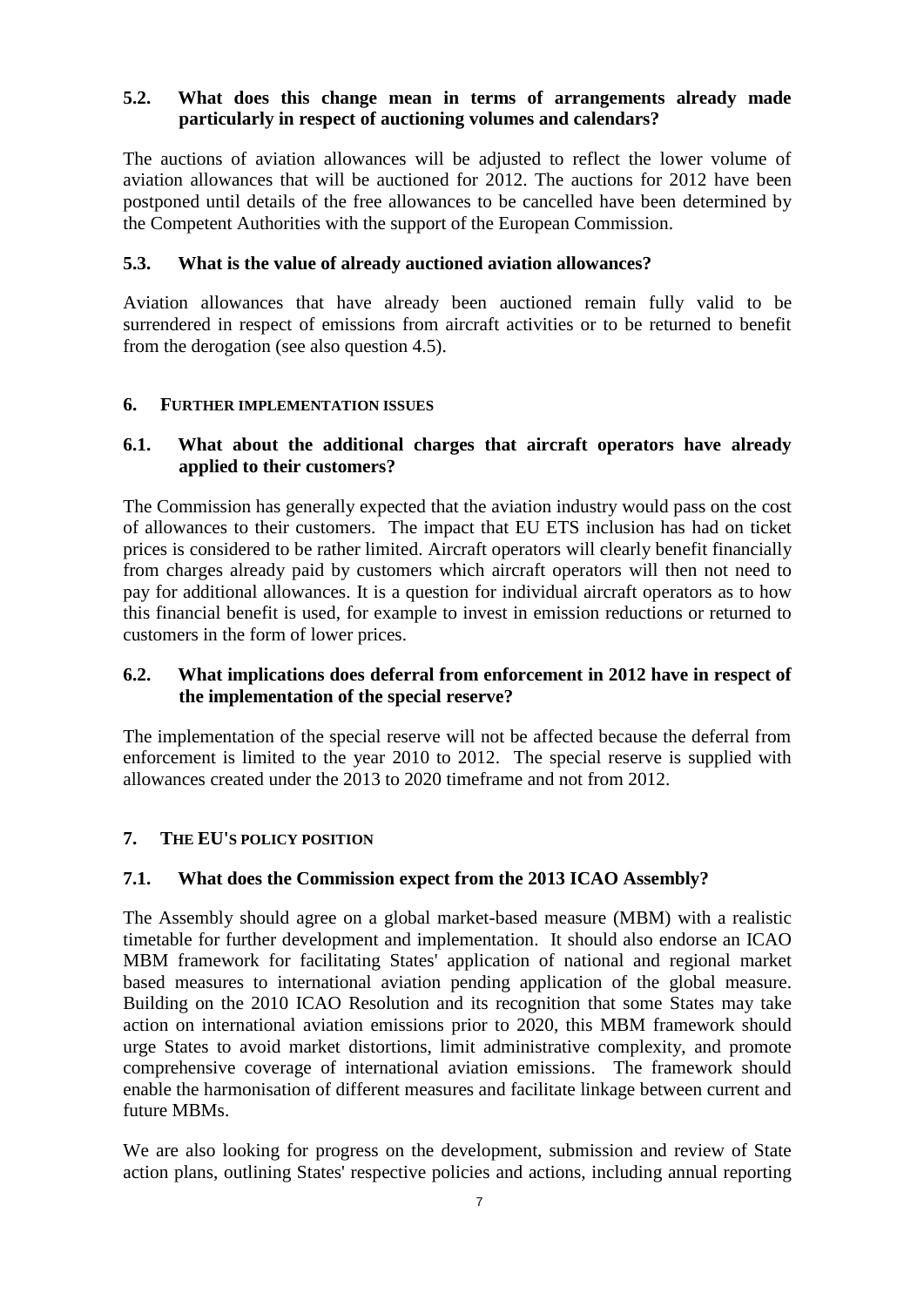## <span id="page-9-0"></span>**5.2. What does this change mean in terms of arrangements already made particularly in respect of auctioning volumes and calendars?**

The auctions of aviation allowances will be adjusted to reflect the lower volume of aviation allowances that will be auctioned for 2012. The auctions for 2012 have been postponed until details of the free allowances to be cancelled have been determined by the Competent Authorities with the support of the European Commission.

## <span id="page-9-1"></span>**5.3. What is the value of already auctioned aviation allowances?**

Aviation allowances that have already been auctioned remain fully valid to be surrendered in respect of emissions from aircraft activities or to be returned to benefit from the derogation (see also question 4.5).

#### <span id="page-9-2"></span>**6. FURTHER IMPLEMENTATION ISSUES**

#### <span id="page-9-3"></span>**6.1. What about the additional charges that aircraft operators have already applied to their customers?**

The Commission has generally expected that the aviation industry would pass on the cost of allowances to their customers. The impact that EU ETS inclusion has had on ticket prices is considered to be rather limited. Aircraft operators will clearly benefit financially from charges already paid by customers which aircraft operators will then not need to pay for additional allowances. It is a question for individual aircraft operators as to how this financial benefit is used, for example to invest in emission reductions or returned to customers in the form of lower prices.

## <span id="page-9-4"></span>**6.2. What implications does deferral from enforcement in 2012 have in respect of the implementation of the special reserve?**

The implementation of the special reserve will not be affected because the deferral from enforcement is limited to the year 2010 to 2012. The special reserve is supplied with allowances created under the 2013 to 2020 timeframe and not from 2012.

## <span id="page-9-5"></span>**7. THE EU'S POLICY POSITION**

#### <span id="page-9-6"></span>**7.1. What does the Commission expect from the 2013 ICAO Assembly?**

The Assembly should agree on a global market-based measure (MBM) with a realistic timetable for further development and implementation. It should also endorse an ICAO MBM framework for facilitating States' application of national and regional market based measures to international aviation pending application of the global measure. Building on the 2010 ICAO Resolution and its recognition that some States may take action on international aviation emissions prior to 2020, this MBM framework should urge States to avoid market distortions, limit administrative complexity, and promote comprehensive coverage of international aviation emissions. The framework should enable the harmonisation of different measures and facilitate linkage between current and future MBMs.

We are also looking for progress on the development, submission and review of State action plans, outlining States' respective policies and actions, including annual reporting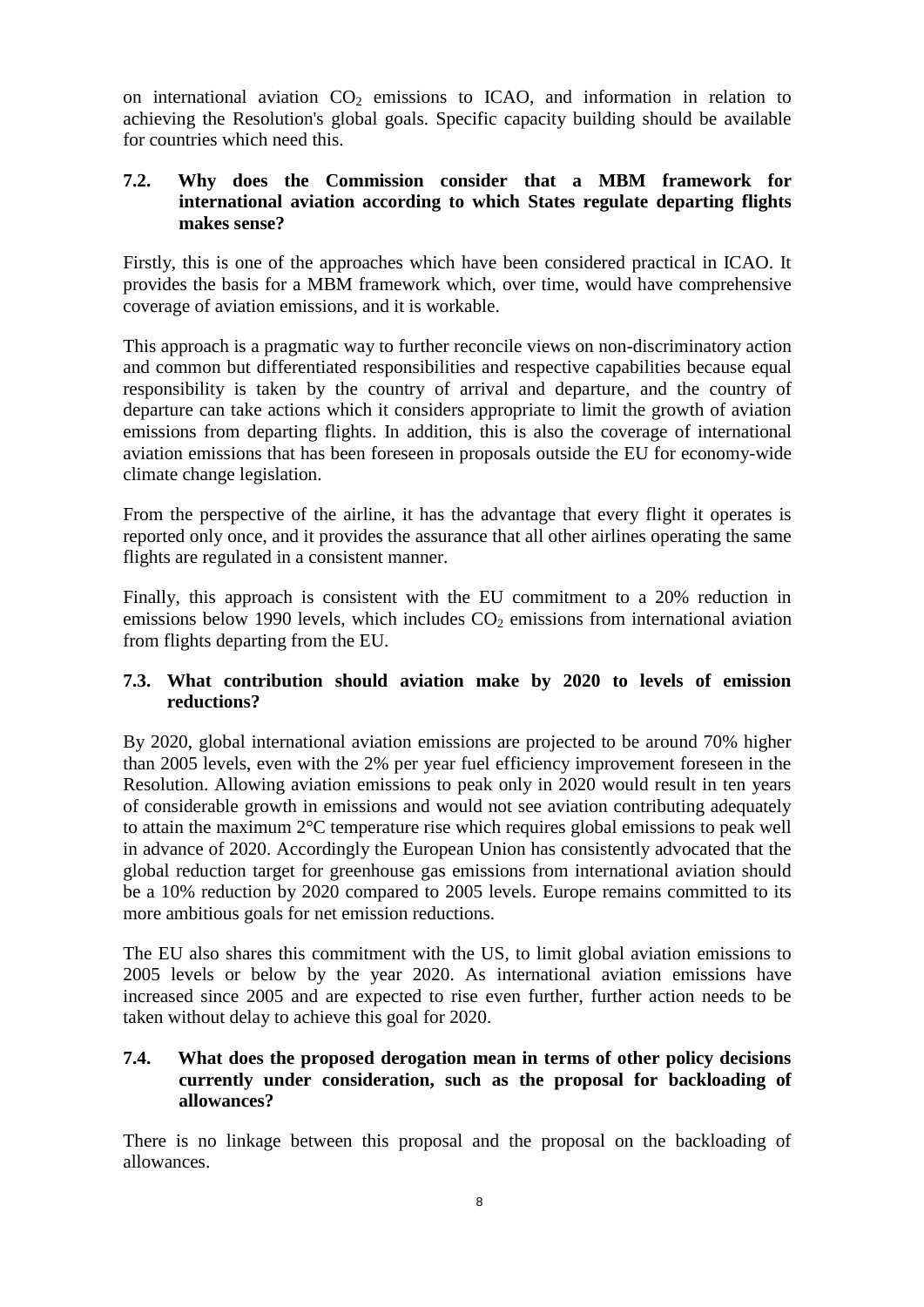on international aviation  $CO<sub>2</sub>$  emissions to ICAO, and information in relation to achieving the Resolution's global goals. Specific capacity building should be available for countries which need this.

#### <span id="page-10-0"></span>**7.2. Why does the Commission consider that a MBM framework for international aviation according to which States regulate departing flights makes sense?**

Firstly, this is one of the approaches which have been considered practical in ICAO. It provides the basis for a MBM framework which, over time, would have comprehensive coverage of aviation emissions, and it is workable.

This approach is a pragmatic way to further reconcile views on non-discriminatory action and common but differentiated responsibilities and respective capabilities because equal responsibility is taken by the country of arrival and departure, and the country of departure can take actions which it considers appropriate to limit the growth of aviation emissions from departing flights. In addition, this is also the coverage of international aviation emissions that has been foreseen in proposals outside the EU for economy-wide climate change legislation.

From the perspective of the airline, it has the advantage that every flight it operates is reported only once, and it provides the assurance that all other airlines operating the same flights are regulated in a consistent manner.

Finally, this approach is consistent with the EU commitment to a 20% reduction in emissions below 1990 levels, which includes  $CO<sub>2</sub>$  emissions from international aviation from flights departing from the EU.

## <span id="page-10-1"></span>**7.3. What contribution should aviation make by 2020 to levels of emission reductions?**

By 2020, global international aviation emissions are projected to be around 70% higher than 2005 levels, even with the 2% per year fuel efficiency improvement foreseen in the Resolution. Allowing aviation emissions to peak only in 2020 would result in ten years of considerable growth in emissions and would not see aviation contributing adequately to attain the maximum 2°C temperature rise which requires global emissions to peak well in advance of 2020. Accordingly the European Union has consistently advocated that the global reduction target for greenhouse gas emissions from international aviation should be a 10% reduction by 2020 compared to 2005 levels. Europe remains committed to its more ambitious goals for net emission reductions.

The EU also shares this commitment with the US, to limit global aviation emissions to 2005 levels or below by the year 2020. As international aviation emissions have increased since 2005 and are expected to rise even further, further action needs to be taken without delay to achieve this goal for 2020.

## <span id="page-10-2"></span>**7.4. What does the proposed derogation mean in terms of other policy decisions currently under consideration, such as the proposal for backloading of allowances?**

There is no linkage between this proposal and the proposal on the backloading of allowances.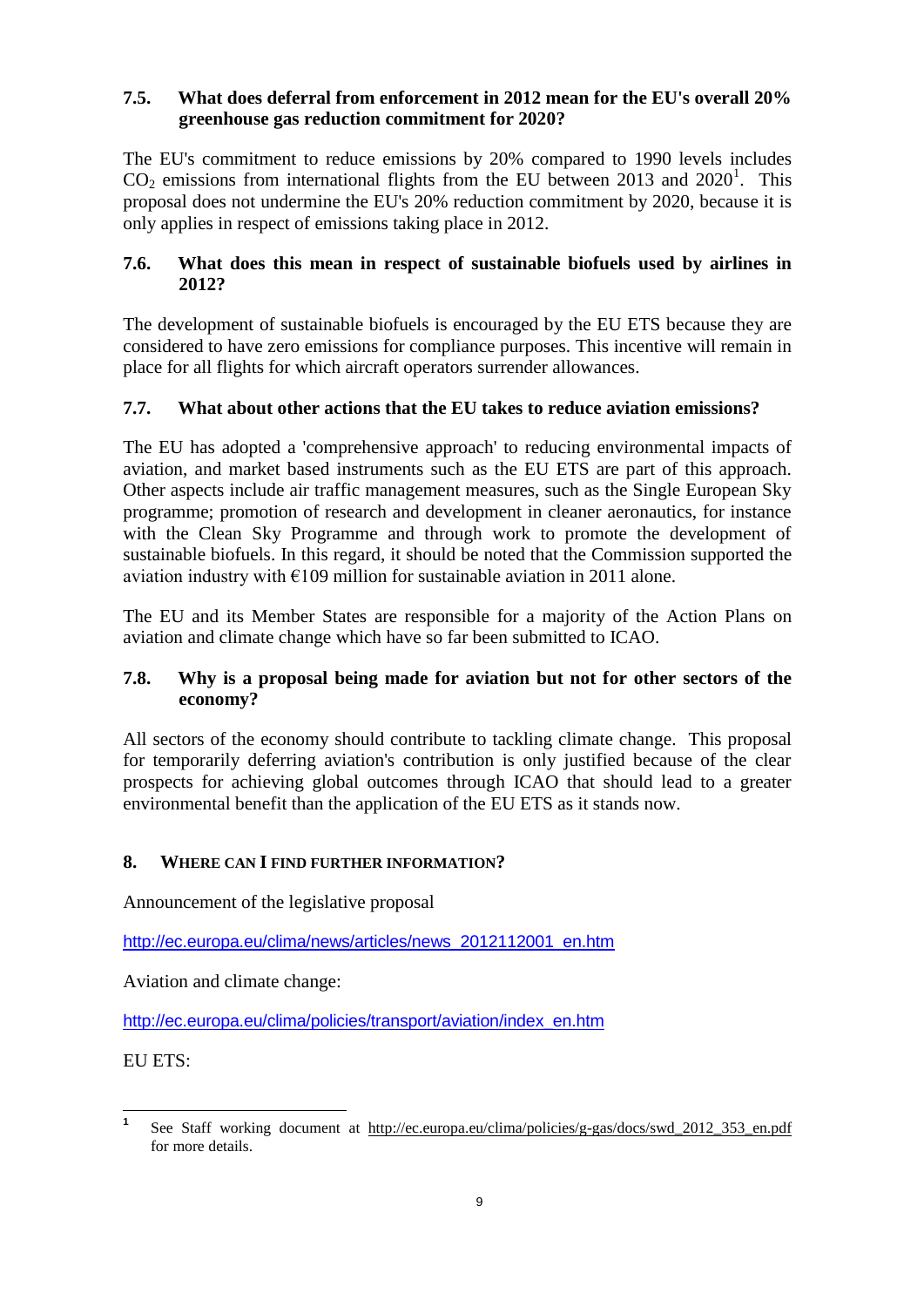## <span id="page-11-0"></span>**7.5. What does deferral from enforcement in 2012 mean for the EU's overall 20% greenhouse gas reduction commitment for 2020?**

The EU's commitment to reduce emissions by 20% compared to 1990 levels includes  $CO<sub>2</sub>$  emissions from international flights from the EU between 2013 and 2020<sup>1</sup>. This proposal does not undermine the EU's 20% reduction commitment by 2020, because it is only applies in respect of emissions taking place in 2012.

## <span id="page-11-1"></span>**7.6. What does this mean in respect of sustainable biofuels used by airlines in 2012?**

The development of sustainable biofuels is encouraged by the EU ETS because they are considered to have zero emissions for compliance purposes. This incentive will remain in place for all flights for which aircraft operators surrender allowances.

## <span id="page-11-2"></span>**7.7. What about other actions that the EU takes to reduce aviation emissions?**

The EU has adopted a 'comprehensive approach' to reducing environmental impacts of aviation, and market based instruments such as the EU ETS are part of this approach. Other aspects include air traffic management measures, such as the Single European Sky programme; promotion of research and development in cleaner aeronautics, for instance with the Clean Sky Programme and through work to promote the development of sustainable biofuels. In this regard, it should be noted that the Commission supported the aviation industry with  $E109$  million for sustainable aviation in 2011 alone.

The EU and its Member States are responsible for a majority of the Action Plans on aviation and climate change which have so far been submitted to ICAO.

## <span id="page-11-3"></span>**7.8. Why is a proposal being made for aviation but not for other sectors of the economy?**

All sectors of the economy should contribute to tackling climate change. This proposal for temporarily deferring aviation's contribution is only justified because of the clear prospects for achieving global outcomes through ICAO that should lead to a greater environmental benefit than the application of the EU ETS as it stands now.

## <span id="page-11-4"></span>**8. WHERE CAN I FIND FURTHER INFORMATION?**

Announcement of the legislative proposal

[http://ec.europa.eu/clima/news/articles/news\\_2012112001\\_en.htm](http://ec.europa.eu/clima/news/articles/news_2012112001_en.htm)

Aviation and climate change:

[http://ec.europa.eu/clima/policies/transport/aviation/index\\_en.htm](http://ec.europa.eu/clima/policies/transport/aviation/index_en.htm)

EU ETS:

 **1** See Staff working document at http://ec.europa.eu/clima/policies/g-gas/docs/swd 2012 353 en.pdf for more details.